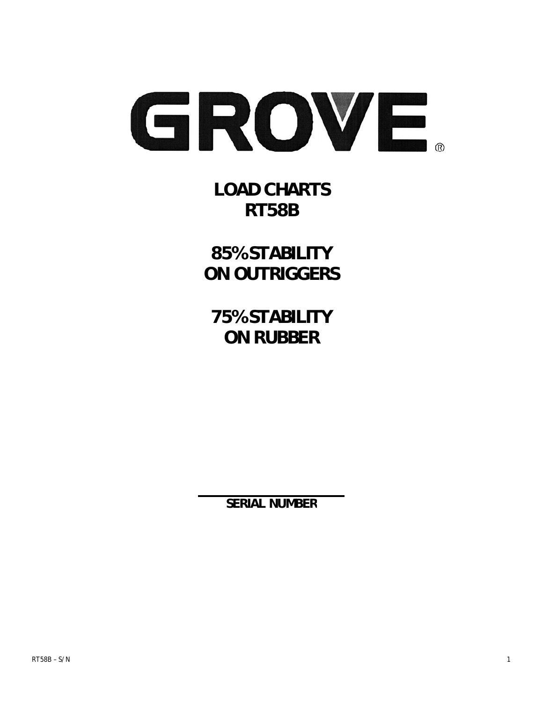

**LOAD CHARTS RT58B** 

**85% STABILITY ON OUTRIGGERS** 

**75% STABILITY ON RUBBER** 

**SERIAL NUMBER**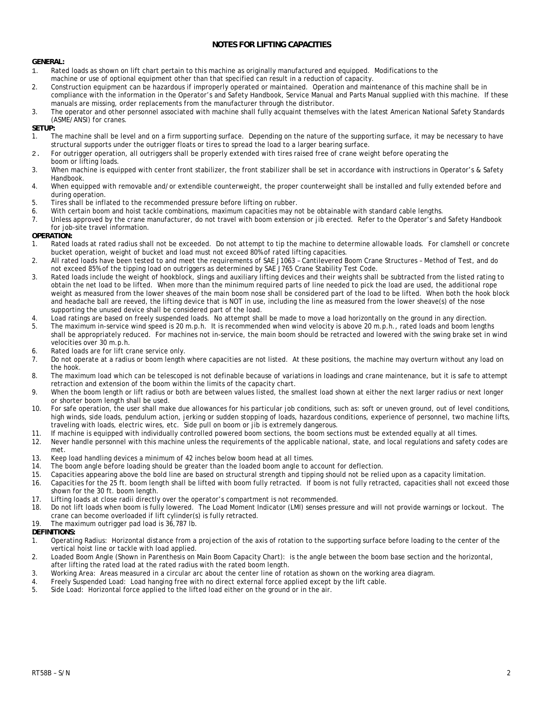### **NOTES FOR LIFTING CAPACITIES**

#### **GENERAL:**

- 1. Rated loads as shown on lift chart pertain to this machine as originally manufactured and equipped. Modifications to the machine or use of optional equipment other than that specified can result in a reduction of capacity.
- 2. Construction equipment can be hazardous if improperly operated or maintained. Operation and maintenance of this machine shall be in compliance with the information in the Operator's and Safety Handbook, Service Manual and Parts Manual supplied with this machine. If these manuals are missing, order replacements from the manufacturer through the distributor.
- 3. The operator and other personnel associated with machine shall fully acquaint themselves with the latest American National Safety Standards (ASME/ANSI) for cranes.

#### **SETUP:**

- 1. The machine shall be level and on a firm supporting surface. Depending on the nature of the supporting surface, it may be necessary to have structural supports under the outrigger floats or tires to spread the load to a larger bearing surface.
- 2. For outrigger operation, all outriggers shall be properly extended with tires raised free of crane weight before operating the
- boom or lifting loads.<br>3. When machine is equi-When machine is equipped with center front stabilizer, the front stabilizer shall be set in accordance with instructions in Operator's & Safety Handbook.
- 4. When equipped with removable and/or extendible counterweight, the proper counterweight shall be installed and fully extended before and during operation.
- 5. Tires shall be inflated to the recommended pressure before lifting on rubber.
- 6. With certain boom and hoist tackle combinations, maximum capacities may not be obtainable with standard cable lengths.
- 7. Unless approved by the crane manufacturer, do not travel with boom extension or jib erected. Refer to the Operator's and Safety Handbook for job-site travel information.

#### **OPERATION:**

- 1. Rated loads at rated radius shall not be exceeded. Do not attempt to tip the machine to determine allowable loads. For clamshell or concrete bucket operation, weight of bucket and load must not exceed 80% of rated lifting capacities.
- 2. All rated loads have been tested to and meet the requirements of SAE J1063 Cantilevered Boom Crane Structures Method of Test, and do not exceed 85% of the tipping load on outriggers as determined by SAE J765 Crane Stability Test Code.
- 3. Rated loads include the weight of hookblock, slings and auxiliary lifting devices and their weights shall be subtracted from the listed rating to obtain the net load to be lifted. When more than the minimum required parts of line needed to pick the load are used, the additional rope weight as measured from the lower sheaves of the main boom nose shall be considered part of the load to be lifted. When both the hook block and headache ball are reeved, the lifting device that is NOT in use, including the line as measured from the lower sheave(s) of the nose supporting the unused device shall be considered part of the load.
- 4. Load ratings are based on freely suspended loads. No attempt shall be made to move a load horizontally on the ground in any direction. 5. The maximum in-service wind speed is 20 m.p.h. It is recommended when wind velocity is above 20 m.p.h., rated loads and boom lengths
- shall be appropriately reduced. For machines not in-service, the main boom should be retracted and lowered with the swing brake set in wind velocities over 30 m.p.h.
- 6. Rated loads are for lift crane service only.
- 7. Do not operate at a radius or boom length where capacities are not listed. At these positions, the machine may overturn without any load on the hook.
- 8. The maximum load which can be telescoped is not definable because of variations in loadings and crane maintenance, but it is safe to attempt retraction and extension of the boom within the limits of the capacity chart.
- 9. When the boom length or lift radius or both are between values listed, the smallest load shown at either the next larger radius or next longer or shorter boom length shall be used.
- 10. For safe operation, the user shall make due allowances for his particular job conditions, such as: soft or uneven ground, out of level conditions, high winds, side loads, pendulum action, jerking or sudden stopping of loads, hazardous conditions, experience of personnel, two machine lifts, traveling with loads, electric wires, etc. Side pull on boom or jib is extremely dangerous.
- 11. If machine is equipped with individually controlled powered boom sections, the boom sections must be extended equally at all times.
- 12. Never handle personnel with this machine unless the requirements of the applicable national, state, and local regulations and safety codes are met.
- 13. Keep load handling devices a minimum of 42 inches below boom head at all times.
- 14. The boom angle before loading should be greater than the loaded boom angle to account for deflection.
- 15. Capacities appearing above the bold line are based on structural strength and tipping should not be relied upon as a capacity limitation.
- 16. Capacities for the 25 ft. boom length shall be lifted with boom fully retracted. If boom is not fully retracted, capacities shall not exceed those shown for the 30 ft. boom length.
- 17. Lifting loads at close radii directly over the operator's compartment is not recommended.
- 18. Do not lift loads when boom is fully lowered. The Load Moment Indicator (LMI) senses pressure and will not provide warnings or lockout. The
- crane can become overloaded if lift cylinder(s) is fully retracted. 19. The maximum outrigger pad load is 36,787 lb.

### **DEFINITIONS:**

- 1. Operating Radius: Horizontal distance from a projection of the axis of rotation to the supporting surface before loading to the center of the vertical hoist line or tackle with load applied.
- 2. Loaded Boom Angle (Shown in Parenthesis on Main Boom Capacity Chart): is the angle between the boom base section and the horizontal, after lifting the rated load at the rated radius with the rated boom length.
- 3. Working Area: Areas measured in a circular arc about the center line of rotation as shown on the working area diagram.
- 4. Freely Suspended Load: Load hanging free with no direct external force applied except by the lift cable.
- 5. Side Load: Horizontal force applied to the lifted load either on the ground or in the air.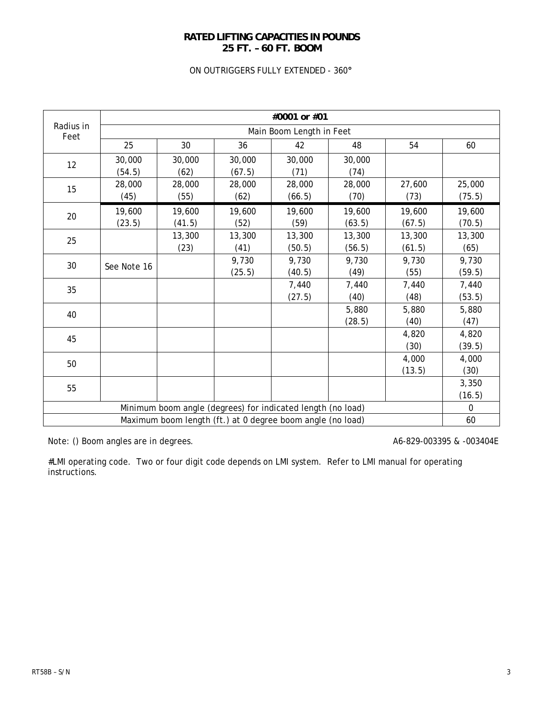## **RATED LIFTING CAPACITIES IN POUNDS 25 FT. – 60 FT. BOOM**

## ON OUTRIGGERS FULLY EXTENDED - 360**°**

|                   | #0001 or #01             |                |                  |                                                             |                |        |          |  |  |
|-------------------|--------------------------|----------------|------------------|-------------------------------------------------------------|----------------|--------|----------|--|--|
| Radius in<br>Feet | Main Boom Length in Feet |                |                  |                                                             |                |        |          |  |  |
|                   | 25                       | 30             | 36               | 42                                                          | 48             | 54     | 60       |  |  |
| 12                | 30,000                   | 30,000         | 30,000           | 30,000                                                      | 30,000         |        |          |  |  |
|                   | (54.5)<br>28,000         | (62)           | (67.5)<br>28,000 | (71)                                                        | (74)<br>28,000 | 27,600 | 25,000   |  |  |
| 15                | (45)                     | 28,000<br>(55) | (62)             | 28,000<br>(66.5)                                            | (70)           | (73)   | (75.5)   |  |  |
| 20                | 19,600                   | 19,600         | 19,600           | 19,600                                                      | 19,600         | 19,600 | 19,600   |  |  |
|                   | (23.5)                   | (41.5)         | (52)             | (59)                                                        | (63.5)         | (67.5) | (70.5)   |  |  |
| 25                |                          | 13,300         | 13,300           | 13,300                                                      | 13,300         | 13,300 | 13,300   |  |  |
|                   |                          | (23)           | (41)             | (50.5)                                                      | (56.5)         | (61.5) | (65)     |  |  |
| 30                | See Note 16              |                | 9,730            | 9,730                                                       | 9,730          | 9,730  | 9,730    |  |  |
|                   |                          |                | (25.5)           | (40.5)                                                      | (49)           | (55)   | (59.5)   |  |  |
| 35                |                          |                |                  | 7,440                                                       | 7,440          | 7,440  | 7,440    |  |  |
|                   |                          |                |                  | (27.5)                                                      | (40)           | (48)   | (53.5)   |  |  |
| 40                |                          |                |                  |                                                             | 5,880          | 5,880  | 5,880    |  |  |
|                   |                          |                |                  |                                                             | (28.5)         | (40)   | (47)     |  |  |
| 45                |                          |                |                  |                                                             |                | 4,820  | 4,820    |  |  |
|                   |                          |                |                  |                                                             |                | (30)   | (39.5)   |  |  |
| 50                |                          |                |                  |                                                             |                | 4,000  | 4,000    |  |  |
|                   |                          |                |                  |                                                             |                | (13.5) | (30)     |  |  |
| 55                |                          |                |                  |                                                             |                |        | 3,350    |  |  |
|                   |                          |                |                  |                                                             |                |        | (16.5)   |  |  |
|                   |                          |                |                  | Minimum boom angle (degrees) for indicated length (no load) |                |        | $\Omega$ |  |  |
|                   |                          |                |                  | Maximum boom length (ft.) at 0 degree boom angle (no load)  |                |        | 60       |  |  |

Note: () Boom angles are in degrees. And the state of the A6-829-003395 & -003404E

#LMI operating code. Two or four digit code depends on LMI system. Refer to LMI manual for operating instructions.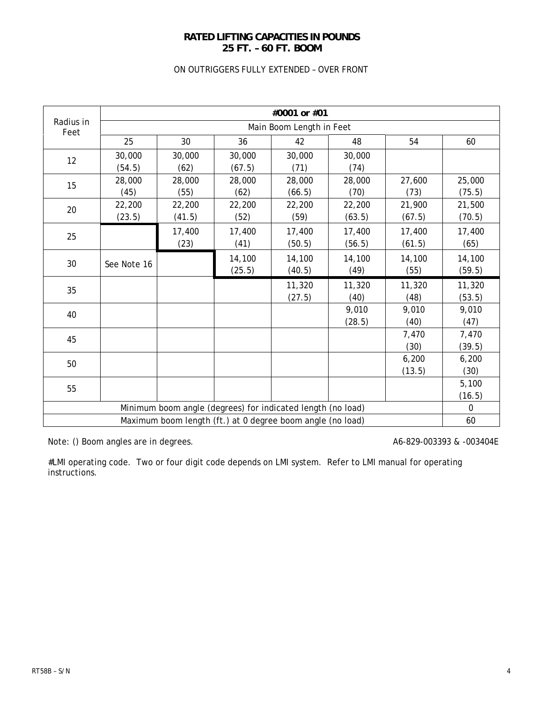## **RATED LIFTING CAPACITIES IN POUNDS 25 FT. – 60 FT. BOOM**

## ON OUTRIGGERS FULLY EXTENDED – OVER FRONT

|                   | #0001 or #01             |        |        |                                                             |        |        |             |  |  |
|-------------------|--------------------------|--------|--------|-------------------------------------------------------------|--------|--------|-------------|--|--|
| Radius in<br>Feet | Main Boom Length in Feet |        |        |                                                             |        |        |             |  |  |
|                   | 25                       | 30     | 36     | 42                                                          | 48     | 54     | 60          |  |  |
| 12                | 30,000                   | 30,000 | 30,000 | 30,000                                                      | 30,000 |        |             |  |  |
|                   | (54.5)                   | (62)   | (67.5) | (71)                                                        | (74)   |        |             |  |  |
| 15                | 28,000                   | 28,000 | 28,000 | 28,000                                                      | 28,000 | 27,600 | 25,000      |  |  |
|                   | (45)                     | (55)   | (62)   | (66.5)                                                      | (70)   | (73)   | (75.5)      |  |  |
| 20                | 22,200                   | 22,200 | 22,200 | 22,200                                                      | 22,200 | 21,900 | 21,500      |  |  |
|                   | (23.5)                   | (41.5) | (52)   | (59)                                                        | (63.5) | (67.5) | (70.5)      |  |  |
| 25                |                          | 17,400 | 17,400 | 17,400                                                      | 17,400 | 17,400 | 17,400      |  |  |
|                   |                          | (23)   | (41)   | (50.5)                                                      | (56.5) | (61.5) | (65)        |  |  |
|                   |                          |        | 14,100 | 14,100                                                      | 14,100 | 14,100 | 14,100      |  |  |
| 30                | See Note 16              |        | (25.5) | (40.5)                                                      | (49)   | (55)   | (59.5)      |  |  |
| 35                |                          |        |        | 11,320                                                      | 11,320 | 11,320 | 11,320      |  |  |
|                   |                          |        |        | (27.5)                                                      | (40)   | (48)   | (53.5)      |  |  |
| 40                |                          |        |        |                                                             | 9,010  | 9,010  | 9,010       |  |  |
|                   |                          |        |        |                                                             | (28.5) | (40)   | (47)        |  |  |
| 45                |                          |        |        |                                                             |        | 7,470  | 7,470       |  |  |
|                   |                          |        |        |                                                             |        | (30)   | (39.5)      |  |  |
| 50                |                          |        |        |                                                             |        | 6,200  | 6,200       |  |  |
|                   |                          |        |        |                                                             |        | (13.5) | (30)        |  |  |
| 55                |                          |        |        |                                                             |        |        | 5,100       |  |  |
|                   |                          |        |        |                                                             |        |        | (16.5)      |  |  |
|                   |                          |        |        | Minimum boom angle (degrees) for indicated length (no load) |        |        | $\mathbf 0$ |  |  |
|                   |                          |        |        | Maximum boom length (ft.) at 0 degree boom angle (no load)  |        |        | 60          |  |  |

Note: () Boom angles are in degrees. And the state of the A6-829-003393 & -003404E

#LMI operating code. Two or four digit code depends on LMI system. Refer to LMI manual for operating instructions.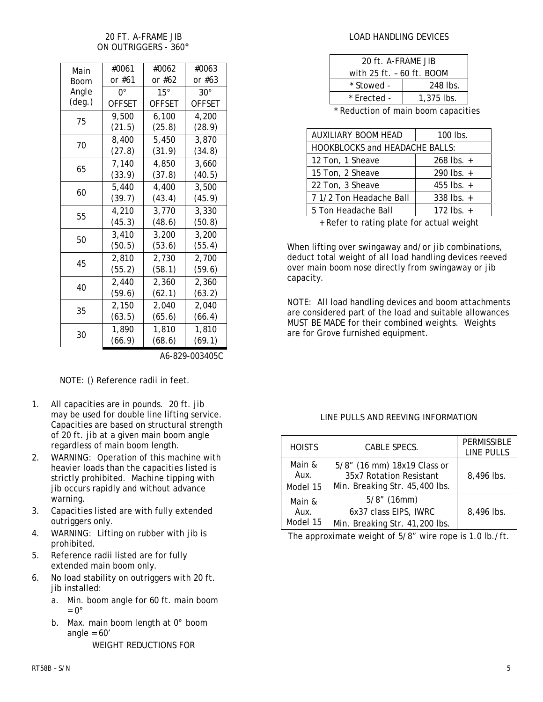## 20 FT. A-FRAME JIB ON OUTRIGGERS - 360**°**

| Main            | #0061         | #0062         | #0063         |
|-----------------|---------------|---------------|---------------|
| Boom            | or #61        | or #62        | or #63        |
| Angle           | n۰            | 15°           | $30^{\circ}$  |
| $(\text{deg.})$ | <b>OFFSET</b> | <b>OFFSET</b> | <b>OFFSET</b> |
| 75              | 9,500         | 6,100         | 4,200         |
|                 | (21.5)        | (25.8)        | (28.9)        |
| 70              | 8,400         | 5,450         | 3.870         |
|                 | (27.8)        | (31.9)        | (34.8)        |
| 65              | 7,140         | 4,850         | 3,660         |
|                 | (33.9)        | (37.8)        | (40.5)        |
| 60              | 5,440         | 4,400         | 3,500         |
|                 | (39.7)        | (43.4)        | (45.9)        |
| 55              | 4,210         | 3,770         | 3,330         |
|                 | (45.3)        | (48.6)        | (50.8)        |
| 50              | 3,410         | 3,200         | 3,200         |
|                 | (50.5)        | (53.6)        | (55.4)        |
| 45              | 2,810         | 2,730         | 2,700         |
|                 | (55.2)        | (58.1)        | (59.6)        |
| 40              | 2,440         | 2,360         | 2,360         |
|                 | (59.6)        | (62.1)        | (63.2)        |
| 35              | 2,150         | 2,040         | 2,040         |
|                 | (63.5)        | (65.6)        | (66.4)        |
| 30              | 1,890         | 1,810         | 1,810         |
|                 | (66.9)        | (68.6)        | (69.1)        |

A6-829-003405C

NOTE: () Reference radii in feet.

- 1. All capacities are in pounds. 20 ft. jib may be used for double line lifting service. Capacities are based on structural strength of 20 ft. jib at a given main boom angle regardless of main boom length.
- 2. WARNING: Operation of this machine with heavier loads than the capacities listed is strictly prohibited. Machine tipping with jib occurs rapidly and without advance warning.
- 3. Capacities listed are with fully extended outriggers only.
- 4. WARNING: Lifting on rubber with jib is prohibited.
- 5. Reference radii listed are for fully extended main boom only.
- 6. No load stability on outriggers with 20 ft. jib installed:
	- a. Min. boom angle for 60 ft. main boom  $= 0^\circ$
	- b. Max. main boom length at 0° boom angle =  $60'$ WEIGHT REDUCTIONS FOR

## LOAD HANDLING DEVICES

| 20 ft. A-FRAME JIB        |              |  |  |  |  |
|---------------------------|--------------|--|--|--|--|
| with 25 ft. - 60 ft. BOOM |              |  |  |  |  |
| * Stowed -                | 248 lbs.     |  |  |  |  |
| * Erected -               | $1,375$ lbs. |  |  |  |  |
|                           |              |  |  |  |  |

Reduction of main boom capacities

| <b>AUXILIARY BOOM HEAD</b>            | $100$ lbs.     |
|---------------------------------------|----------------|
| <b>HOOKBLOCKS and HEADACHE BALLS:</b> |                |
| 12 Ton, 1 Sheave                      | $268$ lbs. $+$ |
| 15 Ton, 2 Sheave                      | 290 lbs. $+$   |
| 22 Ton, 3 Sheave                      | 455 lbs. $+$   |
| 7 1/2 Ton Headache Ball               | 338 lbs. $+$   |
| 5 Ton Headache Ball                   | 172 lbs. $+$   |
|                                       |                |

+ Refer to rating plate for actual weight

When lifting over swingaway and/or jib combinations, deduct total weight of all load handling devices reeved over main boom nose directly from swingaway or jib capacity.

NOTE: All load handling devices and boom attachments are considered part of the load and suitable allowances MUST BE MADE for their combined weights. Weights are for Grove furnished equipment.

## LINE PULLS AND REEVING INFORMATION

| <b>HOISTS</b>              | CABLE SPECS.                                                                             | <b>PERMISSIBLE</b><br>LINE PULLS |
|----------------------------|------------------------------------------------------------------------------------------|----------------------------------|
| Main &<br>Aux.<br>Model 15 | 5/8" (16 mm) 18x19 Class or<br>35x7 Rotation Resistant<br>Min. Breaking Str. 45,400 lbs. | 8,496 lbs.                       |
| Main &<br>Aux.<br>Model 15 | $5/8$ " (16mm)<br>6x37 class EIPS, IWRC<br>Min. Breaking Str. 41,200 lbs.                | 8.496 lbs.                       |

The approximate weight of 5/8" wire rope is 1.0 lb./ft.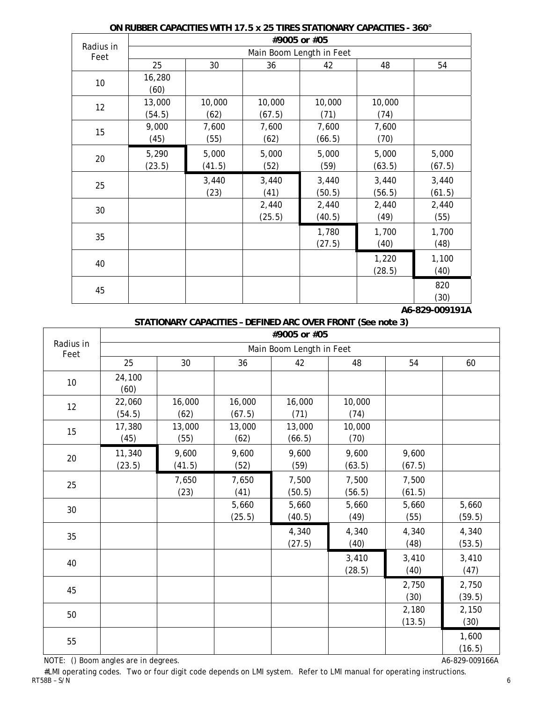|                   | #9005 or #05 |        |                          |        |        |        |  |  |  |
|-------------------|--------------|--------|--------------------------|--------|--------|--------|--|--|--|
| Radius in<br>Feet |              |        | Main Boom Length in Feet |        |        |        |  |  |  |
|                   | 25           | 30     | 36                       | 42     | 48     | 54     |  |  |  |
| 10                | 16,280       |        |                          |        |        |        |  |  |  |
|                   | (60)         |        |                          |        |        |        |  |  |  |
| 12                | 13,000       | 10,000 | 10,000                   | 10,000 | 10,000 |        |  |  |  |
|                   | (54.5)       | (62)   | (67.5)                   | (71)   | (74)   |        |  |  |  |
| 15                | 9,000        | 7,600  | 7,600                    | 7,600  | 7,600  |        |  |  |  |
|                   | (45)         | (55)   | (62)                     | (66.5) | (70)   |        |  |  |  |
| 20                | 5,290        | 5,000  | 5,000                    | 5,000  | 5,000  | 5,000  |  |  |  |
|                   | (23.5)       | (41.5) | (52)                     | (59)   | (63.5) | (67.5) |  |  |  |
| 25                |              | 3,440  | 3,440                    | 3,440  | 3,440  | 3,440  |  |  |  |
|                   |              | (23)   | (41)                     | (50.5) | (56.5) | (61.5) |  |  |  |
| 30                |              |        | 2,440                    | 2,440  | 2,440  | 2,440  |  |  |  |
|                   |              |        | (25.5)                   | (40.5) | (49)   | (55)   |  |  |  |
| 35                |              |        |                          | 1,780  | 1,700  | 1,700  |  |  |  |
|                   |              |        |                          | (27.5) | (40)   | (48)   |  |  |  |
|                   |              |        |                          |        | 1,220  | 1,100  |  |  |  |
| 40                |              |        |                          |        | (28.5) | (40)   |  |  |  |
|                   |              |        |                          |        |        | 820    |  |  |  |
| 45                |              |        |                          |        |        | (30)   |  |  |  |

### **ON RUBBER CAPACITIES WITH 17.5 x 25 TIRES STATIONARY CAPACITIES - 360°**

 **A6-829-009191A** 

# **STATIONARY CAPACITIES – DEFINED ARC OVER FRONT (See note 3)**

|                   | #9005 or #05     |                 |                  |                          |                 |                 |                 |  |  |
|-------------------|------------------|-----------------|------------------|--------------------------|-----------------|-----------------|-----------------|--|--|
| Radius in<br>Feet |                  |                 |                  | Main Boom Length in Feet |                 |                 |                 |  |  |
|                   | 25               | 30              | 36               | 42                       | 48              | 54              | 60              |  |  |
| 10                | 24,100<br>(60)   |                 |                  |                          |                 |                 |                 |  |  |
| 12                | 22,060<br>(54.5) | 16,000<br>(62)  | 16,000<br>(67.5) | 16,000<br>(71)           | 10,000<br>(74)  |                 |                 |  |  |
| 15                | 17,380<br>(45)   | 13,000<br>(55)  | 13,000<br>(62)   | 13,000<br>(66.5)         | 10,000<br>(70)  |                 |                 |  |  |
| 20                | 11,340<br>(23.5) | 9,600<br>(41.5) | 9,600<br>(52)    | 9,600<br>(59)            | 9,600<br>(63.5) | 9,600<br>(67.5) |                 |  |  |
| 25                |                  | 7,650<br>(23)   | 7,650<br>(41)    | 7,500<br>(50.5)          | 7,500<br>(56.5) | 7,500<br>(61.5) |                 |  |  |
| 30                |                  |                 | 5,660<br>(25.5)  | 5,660<br>(40.5)          | 5,660<br>(49)   | 5,660<br>(55)   | 5,660<br>(59.5) |  |  |
| 35                |                  |                 |                  | 4,340<br>(27.5)          | 4,340<br>(40)   | 4,340<br>(48)   | 4,340<br>(53.5) |  |  |
| 40                |                  |                 |                  |                          | 3,410<br>(28.5) | 3,410<br>(40)   | 3,410<br>(47)   |  |  |
| 45                |                  |                 |                  |                          |                 | 2,750<br>(30)   | 2,750<br>(39.5) |  |  |
| 50                |                  |                 |                  |                          |                 | 2,180<br>(13.5) | 2,150<br>(30)   |  |  |
| 55                |                  |                 |                  |                          |                 |                 | 1,600<br>(16.5) |  |  |

NOTE: () Boom angles are in degrees. After the state of the state of the state of the A6-829-009166A

 $\mathsf{r}$ 

#LMI operating codes. Two or four digit code depends on LMI system. Refer to LMI manual for operating instructions. RT58B – S/N 6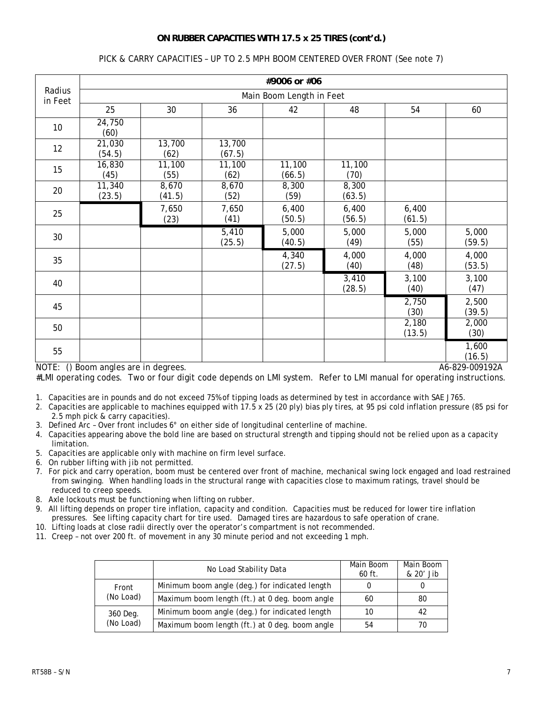## **ON RUBBER CAPACITIES WITH 17.5 x 25 TIRES (cont'd.)**

## PICK & CARRY CAPACITIES – UP TO 2.5 MPH BOOM CENTERED OVER FRONT (See note 7)

|                   | #9006 or #06                         |                 |                  |                  |                 |                 |                                   |  |  |
|-------------------|--------------------------------------|-----------------|------------------|------------------|-----------------|-----------------|-----------------------------------|--|--|
| Radius<br>in Feet | Main Boom Length in Feet             |                 |                  |                  |                 |                 |                                   |  |  |
|                   | 25                                   | 30              | 36               | 42               | 48              | 54              | 60                                |  |  |
| 10 <sup>°</sup>   | 24,750<br>(60)                       |                 |                  |                  |                 |                 |                                   |  |  |
| 12                | 21,030<br>(54.5)                     | 13,700<br>(62)  | 13,700<br>(67.5) |                  |                 |                 |                                   |  |  |
| 15                | 16,830<br>(45)                       | 11,100<br>(55)  | 11,100<br>(62)   | 11,100<br>(66.5) | 11,100<br>(70)  |                 |                                   |  |  |
| 20                | 11,340<br>(23.5)                     | 8,670<br>(41.5) | 8,670<br>(52)    | 8,300<br>(59)    | 8,300<br>(63.5) |                 |                                   |  |  |
| 25                |                                      | 7,650<br>(23)   | 7,650<br>(41)    | 6,400<br>(50.5)  | 6,400<br>(56.5) | 6,400<br>(61.5) |                                   |  |  |
| 30                |                                      |                 | 5,410<br>(25.5)  | 5,000<br>(40.5)  | 5,000<br>(49)   | 5,000<br>(55)   | 5,000<br>(59.5)                   |  |  |
| 35                |                                      |                 |                  | 4,340<br>(27.5)  | 4,000<br>(40)   | 4,000<br>(48)   | 4,000<br>(53.5)                   |  |  |
| 40                |                                      |                 |                  |                  | 3,410<br>(28.5) | 3,100<br>(40)   | 3,100<br>(47)                     |  |  |
| 45                |                                      |                 |                  |                  |                 | 2,750<br>(30)   | 2,500<br>(39.5)                   |  |  |
| 50                |                                      |                 |                  |                  |                 | 2,180<br>(13.5) | 2,000<br>(30)                     |  |  |
| 55                | NOTE: () Boom angles are in degrees. |                 |                  |                  |                 |                 | 1,600<br>(16.5)<br>A6-829-009192A |  |  |

#LMI operating codes. Two or four digit code depends on LMI system. Refer to LMI manual for operating instructions.

1. Capacities are in pounds and do not exceed 75% of tipping loads as determined by test in accordance with SAE J765.

2. Capacities are applicable to machines equipped with 17.5 x 25 (20 ply) bias ply tires, at 95 psi cold inflation pressure (85 psi for 2.5 mph pick & carry capacities).

3. Defined Arc – Over front includes 6° on either side of longitudinal centerline of machine.

- 4. Capacities appearing above the bold line are based on structural strength and tipping should not be relied upon as a capacity limitation.
- 5. Capacities are applicable only with machine on firm level surface.
- 6. On rubber lifting with jib not permitted.
- 7. For pick and carry operation, boom must be centered over front of machine, mechanical swing lock engaged and load restrained from swinging. When handling loads in the structural range with capacities close to maximum ratings, travel should be reduced to creep speeds.
- 8. Axle lockouts must be functioning when lifting on rubber.
- 9. All lifting depends on proper tire inflation, capacity and condition. Capacities must be reduced for lower tire inflation pressures. See lifting capacity chart for tire used. Damaged tires are hazardous to safe operation of crane.
- 10. Lifting loads at close radii directly over the operator's compartment is not recommended.
- 11. Creep not over 200 ft. of movement in any 30 minute period and not exceeding 1 mph.

|                    | No Load Stability Data                         | Main Boom<br>$60$ ft. | Main Boom<br>& 20' Jib |
|--------------------|------------------------------------------------|-----------------------|------------------------|
| Front<br>(No Load) | Minimum boom angle (deg.) for indicated length |                       |                        |
|                    | Maximum boom length (ft.) at 0 deg. boom angle | 60                    | 80                     |
| 360 Deg.           | Minimum boom angle (deg.) for indicated length | 10                    | 42                     |
| (No Load)          | Maximum boom length (ft.) at 0 deg. boom angle | 54                    | 70                     |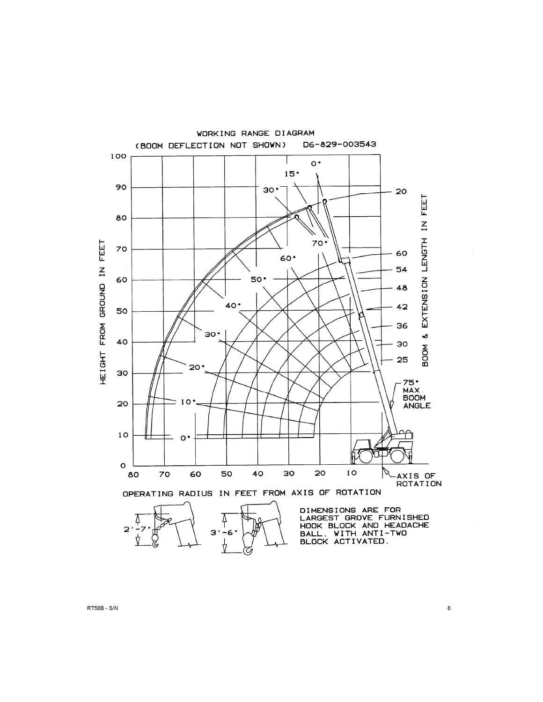

 $\bf 8$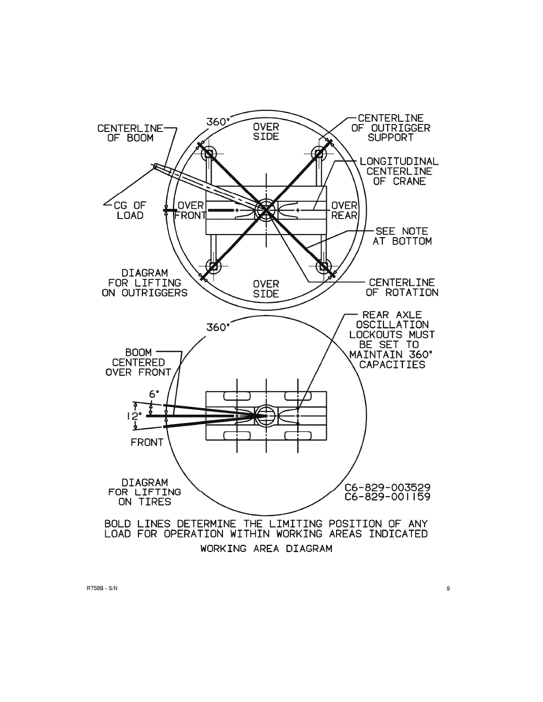

RT58B - S/N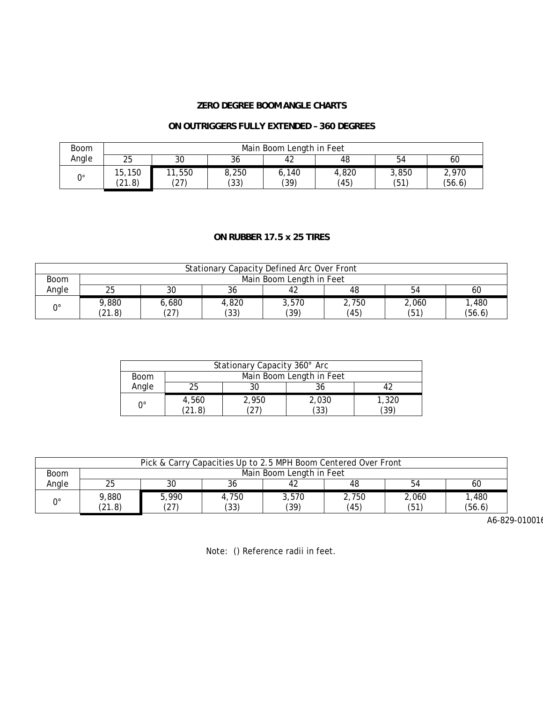### **ZERO DEGREE BOOM ANGLE CHARTS**

### **ON OUTRIGGERS FULLY EXTENDED – 360 DEGREES**

| <b>Boom</b> | Main Boom Length in Feet |                |               |               |               |               |                 |  |
|-------------|--------------------------|----------------|---------------|---------------|---------------|---------------|-----------------|--|
| Angle       | 25                       | 30             | ົ<br>36       | 42            | 48            | 54            | 60              |  |
| 0°          | 15,150<br>(21.8)         | 11,550<br>(27) | 8,250<br>(33) | 6.140<br>(39) | 4,820<br>(45) | 3,850<br>(51) | 2,970<br>(56.6) |  |

### **ON RUBBER 17.5 x 25 TIRES**

| Stationary Capacity Defined Arc Over Front |                          |       |       |       |       |       |        |  |  |
|--------------------------------------------|--------------------------|-------|-------|-------|-------|-------|--------|--|--|
| <b>Boom</b>                                | Main Boom Length in Feet |       |       |       |       |       |        |  |  |
| Angle                                      | 25                       |       | 36    |       | 48    | 54    | 60     |  |  |
| $0^{\circ}$                                | 9,880                    | 6,680 | 4,820 | 3.570 | 2.750 | 2,060 | 480, ا |  |  |
|                                            | (21.8)                   | (27)  | (33)  | (39)  | (45)  | (51)  | (56.6) |  |  |

| Stationary Capacity 360° Arc |                          |       |       |       |  |  |  |  |
|------------------------------|--------------------------|-------|-------|-------|--|--|--|--|
| <b>Boom</b>                  | Main Boom Length in Feet |       |       |       |  |  |  |  |
| Angle                        | 25                       |       |       |       |  |  |  |  |
| ∩∘                           | 4,560                    | 2,950 | 2,030 | 1,320 |  |  |  |  |
|                              | (21.8)                   |       | (33)  | (39)  |  |  |  |  |

| Pick & Carry Capacities Up to 2.5 MPH Boom Centered Over Front |                          |               |               |               |               |               |                |  |  |
|----------------------------------------------------------------|--------------------------|---------------|---------------|---------------|---------------|---------------|----------------|--|--|
| <b>Boom</b>                                                    | Main Boom Length in Feet |               |               |               |               |               |                |  |  |
| Angle                                                          | 25                       | 30            | 36            | 42            | 48            | 54            | 60             |  |  |
| n۰                                                             | 9,880<br>(21.8)          | 5,990<br>(27) | 4,750<br>(33) | 3,570<br>(39) | 2.750<br>(45) | 2.060<br>(51) | ,480<br>(56.6) |  |  |

A6-829-010016

Note: () Reference radii in feet.